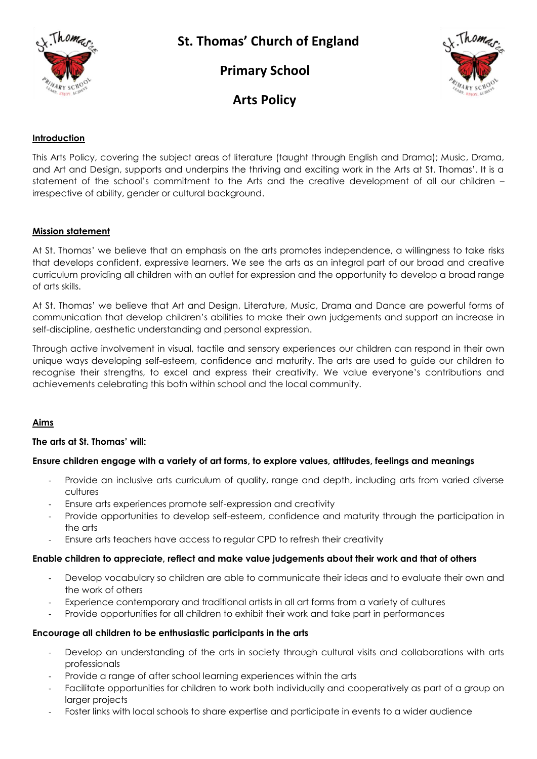

# **St. Thomas' Church of England**

 **Primary School**



## **Arts Policy**

## **Introduction**

This Arts Policy, covering the subject areas of literature (taught through English and Drama); Music, Drama, and Art and Design, supports and underpins the thriving and exciting work in the Arts at St. Thomas'. It is a statement of the school's commitment to the Arts and the creative development of all our children – irrespective of ability, gender or cultural background.

### **Mission statement**

At St. Thomas' we believe that an emphasis on the arts promotes independence, a willingness to take risks that develops confident, expressive learners. We see the arts as an integral part of our broad and creative curriculum providing all children with an outlet for expression and the opportunity to develop a broad range of arts skills.

At St. Thomas' we believe that Art and Design, Literature, Music, Drama and Dance are powerful forms of communication that develop children's abilities to make their own judgements and support an increase in self-discipline, aesthetic understanding and personal expression.

Through active involvement in visual, tactile and sensory experiences our children can respond in their own unique ways developing self-esteem, confidence and maturity. The arts are used to guide our children to recognise their strengths, to excel and express their creativity. We value everyone's contributions and achievements celebrating this both within school and the local community.

## **Aims**

### **The arts at St. Thomas' will:**

### **Ensure children engage with a variety of art forms, to explore values, attitudes, feelings and meanings**

- Provide an inclusive arts curriculum of quality, range and depth, including arts from varied diverse cultures
- Ensure arts experiences promote self-expression and creativity
- Provide opportunities to develop self-esteem, confidence and maturity through the participation in the arts
- Ensure arts teachers have access to regular CPD to refresh their creativity

### **Enable children to appreciate, reflect and make value judgements about their work and that of others**

- Develop vocabulary so children are able to communicate their ideas and to evaluate their own and the work of others
- Experience contemporary and traditional artists in all art forms from a variety of cultures
- Provide opportunities for all children to exhibit their work and take part in performances

### **Encourage all children to be enthusiastic participants in the arts**

- Develop an understanding of the arts in society through cultural visits and collaborations with arts professionals
- Provide a range of after school learning experiences within the arts
- Facilitate opportunities for children to work both individually and cooperatively as part of a group on larger projects
- Foster links with local schools to share expertise and participate in events to a wider audience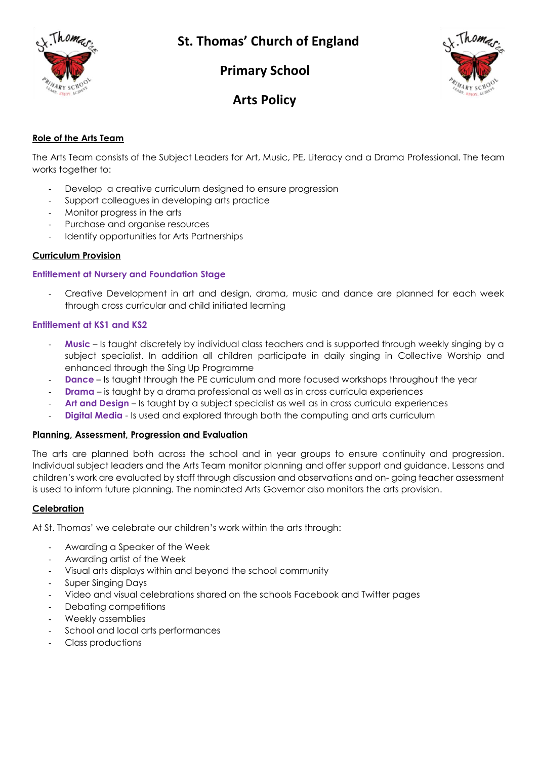

# **St. Thomas' Church of England**

 **Primary School**



## **Arts Policy**

## **Role of the Arts Team**

The Arts Team consists of the Subject Leaders for Art, Music, PE, Literacy and a Drama Professional. The team works together to:

- Develop a creative curriculum designed to ensure progression
- Support colleagues in developing arts practice
- Monitor progress in the arts
- Purchase and organise resources
- Identify opportunities for Arts Partnerships

## **Curriculum Provision**

## **Entitlement at Nursery and Foundation Stage**

- Creative Development in art and design, drama, music and dance are planned for each week through cross curricular and child initiated learning

### **Entitlement at KS1 and KS2**

- **Music** Is taught discretely by individual class teachers and is supported through weekly singing by a subject specialist. In addition all children participate in daily singing in Collective Worship and enhanced through the Sing Up Programme
- **Dance** Is taught through the PE curriculum and more focused workshops throughout the year
- **Drama** is taught by a drama professional as well as in cross curricula experiences
- Art and Design Is taught by a subject specialist as well as in cross curricula experiences
- **Digital Media** Is used and explored through both the computing and arts curriculum

### **Planning, Assessment, Progression and Evaluation**

The arts are planned both across the school and in year groups to ensure continuity and progression. Individual subject leaders and the Arts Team monitor planning and offer support and guidance. Lessons and children's work are evaluated by staff through discussion and observations and on- going teacher assessment is used to inform future planning. The nominated Arts Governor also monitors the arts provision.

### **Celebration**

At St. Thomas' we celebrate our children's work within the arts through:

- Awarding a Speaker of the Week
- Awarding artist of the Week
- Visual arts displays within and beyond the school community
- Super Singing Days
- Video and visual celebrations shared on the schools Facebook and Twitter pages
- Debating competitions
- Weekly assemblies
- School and local arts performances
- Class productions